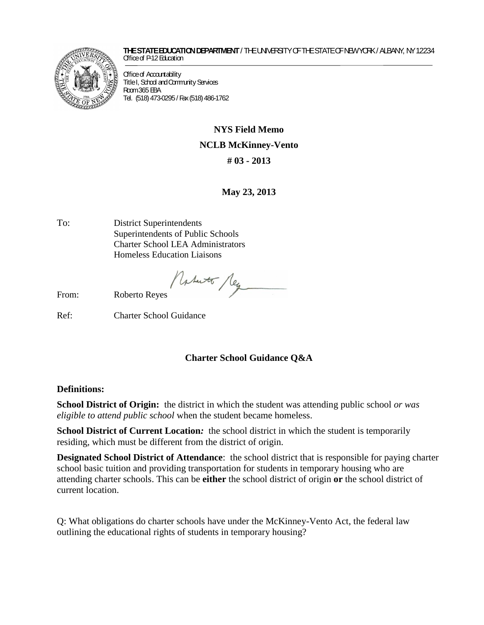**THE STATE EDUCATION DEPARTMENT** / THE UNIVERSITY OF THE STATE OF NEW YORK / ALBANY, NY 12234 Office of P-12 Education



Office of Accountability Title I, School and Community Services Room 365 EBA Tel. (518) 473-0295/ Fax (518) 486-1762

## **NYS Field Memo NCLB McKinney-Vento # 03 - 2013**

**May 23, 2013**

To: District Superintendents Superintendents of Public Schools Charter School LEA Administrators Homeless Education Liaisons

Notwitt Neg

From: Roberto Reyes

Ref: Charter School Guidance

## **Charter School Guidance Q&A**

## **Definitions:**

**School District of Origin:** the district in which the student was attending public school *or was eligible to attend public school* when the student became homeless.

**School District of Current Location***:* the school district in which the student is temporarily residing, which must be different from the district of origin.

**Designated School District of Attendance**: the school district that is responsible for paying charter school basic tuition and providing transportation for students in temporary housing who are attending charter schools. This can be **either** the school district of origin **or** the school district of current location.

Q: What obligations do charter schools have under the McKinney-Vento Act, the federal law outlining the educational rights of students in temporary housing?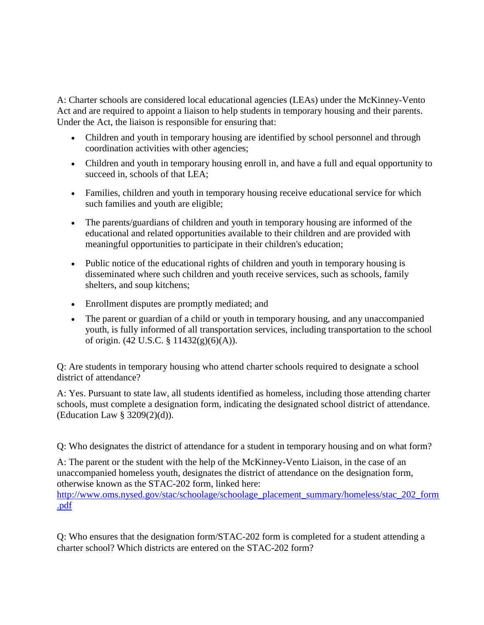A: Charter schools are considered local educational agencies (LEAs) under the McKinney-Vento Act and are required to appoint a liaison to help students in temporary housing and their parents. Under the Act, the liaison is responsible for ensuring that:

- Children and youth in temporary housing are identified by school personnel and through coordination activities with other agencies;
- Children and youth in temporary housing enroll in, and have a full and equal opportunity to succeed in, schools of that LEA;
- Families, children and youth in temporary housing receive educational service for which such families and youth are eligible;
- The parents/guardians of children and youth in temporary housing are informed of the educational and related opportunities available to their children and are provided with meaningful opportunities to participate in their children's education;
- Public notice of the educational rights of children and youth in temporary housing is disseminated where such children and youth receive services, such as schools, family shelters, and soup kitchens;
- Enrollment disputes are promptly mediated; and
- The parent or guardian of a child or youth in temporary housing, and any unaccompanied youth, is fully informed of all transportation services, including transportation to the school of origin. (42 U.S.C. § 11432(g)(6)(A)).

Q: Are students in temporary housing who attend charter schools required to designate a school district of attendance?

A: Yes. Pursuant to state law, all students identified as homeless, including those attending charter schools, must complete a designation form, indicating the designated school district of attendance. (Education Law § 3209(2)(d)).

Q: Who designates the district of attendance for a student in temporary housing and on what form?

A: The parent or the student with the help of the McKinney-Vento Liaison, in the case of an unaccompanied homeless youth, designates the district of attendance on the designation form, otherwise known as the STAC-202 form, linked here:

http://www.oms.nysed.gov/stac/schoolage/schoolage\_placement\_summary/homeless/stac\_202\_form .pdf

Q: Who ensures that the designation form/STAC-202 form is completed for a student attending a charter school? Which districts are entered on the STAC-202 form?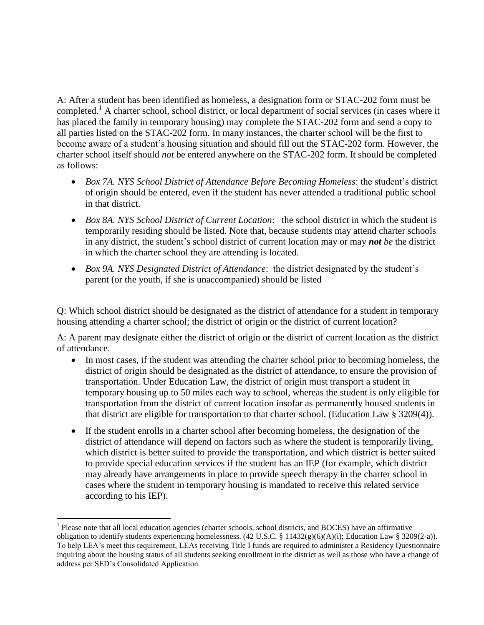A: After a student has been identified as homeless, a designation form or STAC-202 form must be completed.<sup>1</sup> A charter school, school district, or local department of social services (in cases where it has placed the family in temporary housing) may complete the STAC-202 form and send a copy to all parties listed on the STAC-202 form. In many instances, the charter school will be the first to become aware of a student's housing situation and should fill out the STAC-202 form. However, the charter school itself should *not* be entered anywhere on the STAC-202 form. It should be completed as follows:

- *Box 7A. NYS School District of Attendance Before Becoming Homeless*: the student's district of origin should be entered, even if the student has never attended a traditional public school in that district.
- *Box 8A. NYS School District of Current Location*: the school district in which the student is temporarily residing should be listed. Note that, because students may attend charter schools in any district, the student's school district of current location may or may *not be* the district in which the charter school they are attending is located.
- *Box 9A. NYS Designated District of Attendance*: the district designated by the student's parent (or the youth, if she is unaccompanied) should be listed

Q: Which school district should be designated as the district of attendance for a student in temporary housing attending a charter school; the district of origin or the district of current location?

A: A parent may designate either the district of origin or the district of current location as the district of attendance.

- In most cases, if the student was attending the charter school prior to becoming homeless, the district of origin should be designated as the district of attendance, to ensure the provision of transportation. Under Education Law, the district of origin must transport a student in temporary housing up to 50 miles each way to school, whereas the student is only eligible for transportation from the district of current location insofar as permanently housed students in that district are eligible for transportation to that charter school. (Education Law § 3209(4)).
- If the student enrolls in a charter school after becoming homeless, the designation of the district of attendance will depend on factors such as where the student is temporarily living, which district is better suited to provide the transportation, and which district is better suited to provide special education services if the student has an IEP (for example, which district may already have arrangements in place to provide speech therapy in the charter school in cases where the student in temporary housing is mandated to receive this related service according to his IEP).

 $\overline{a}$ 

<sup>&</sup>lt;sup>1</sup> Please note that all local education agencies (charter schools, school districts, and BOCES) have an affirmative obligation to identify students experiencing homelessness. (42 U.S.C. § 11432(g)(6)(A)(i); Education Law § 3209(2-a)). To help LEA's meet this requirement, LEAs receiving Title I funds are required to administer a Residency Questionnaire inquiring about the housing status of all students seeking enrollment in the district as well as those who have a change of address per SED's Consolidated Application.